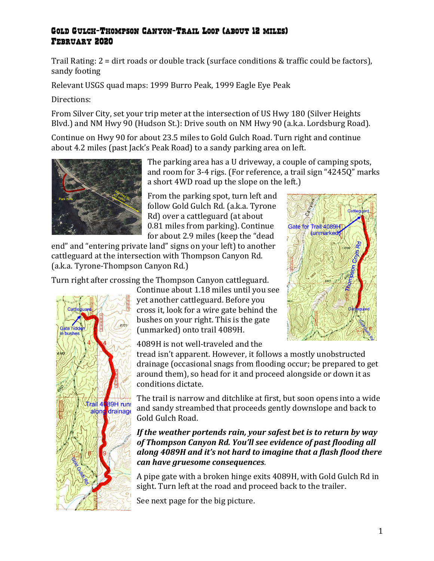## Gold Gulch-Thompson Canyon-Trail Loop (about 12 miles) February 2020

Trail Rating:  $2 = \text{dirt}$  roads or double track (surface conditions & traffic could be factors), sandy footing

Relevant USGS quad maps: 1999 Burro Peak, 1999 Eagle Eye Peak

Directions:

From Silver City, set your trip meter at the intersection of US Hwy 180 (Silver Heights Blvd.) and NM Hwy 90 (Hudson St.): Drive south on NM Hwy 90 (a.k.a. Lordsburg Road).

Continue on Hwy 90 for about 23.5 miles to Gold Gulch Road. Turn right and continue about 4.2 miles (past Jack's Peak Road) to a sandy parking area on left.



The parking area has a U driveway, a couple of camping spots, and room for 3-4 rigs. (For reference, a trail sign "4245Q" marks a short 4WD road up the slope on the left.)

From the parking spot, turn left and follow Gold Gulch Rd. (a.k.a. Tyrone Rd) over a cattleguard (at about 0.81 miles from parking). Continue for about 2.9 miles (keep the "dead

end" and "entering private land" signs on your left) to another cattleguard at the intersection with Thompson Canyon Rd. (a.k.a. Tyrone-Thompson Canyon Rd.)

Turn right after crossing the Thompson Canyon cattleguard.



Continue about 1.18 miles until you see yet another cattleguard. Before you cross it, look for a wire gate behind the bushes on your right. This is the gate (unmarked) onto trail 4089H.

4089H is not well-traveled and the

tread isn't apparent. However, it follows a mostly unobstructed drainage (occasional snags from flooding occur; be prepared to get around them), so head for it and proceed alongside or down it as conditions dictate. 

The trail is narrow and ditchlike at first, but soon opens into a wide and sandy streambed that proceeds gently downslope and back to Gold Gulch Road.

If the weather portends rain, your safest bet is to return by way of Thompson Canyon Rd. You'll see evidence of past flooding all *along 4089H and it's not hard to imagine that a flash flood there can have gruesome consequences*.

A pipe gate with a broken hinge exits 4089H, with Gold Gulch Rd in sight. Turn left at the road and proceed back to the trailer.

See next page for the big picture.